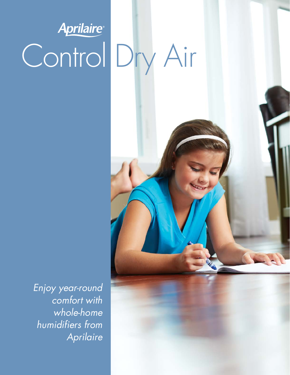# Aprilaire Control Dry Air

Enjoy year-round comfort with whole-home humidifiers from Aprilaire

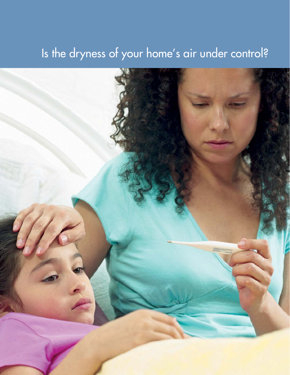### Is the dryness of your home's air under control?

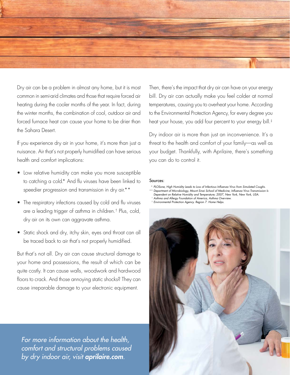

Dry air can be a problem in almost any home, but it is most common in semi-arid climates and those that require forced air heating during the cooler months of the year. In fact, during the winter months, the combination of cool, outdoor air and forced furnace heat can cause your home to be drier than the Sahara Desert.

If you experience dry air in your home, it's more than just a nuisance. Air that's not properly humidified can have serious health and comfort implications:

- Low relative humidity can make you more susceptible to catching a cold.\* And flu viruses have been linked to speedier progression and transmission in dry air.\*\*
- The respiratory infections caused by cold and flu viruses are a leading trigger of asthma in children.† Plus, cold, dry air on its own can aggravate asthma.
- Static shock and dry, itchy skin, eyes and throat can all be traced back to air that's not properly humidified.

But that's not all. Dry air can cause structural damage to your home and possessions, the result of which can be quite costly. It can cause walls, woodwork and hardwood floors to crack. And those annoying static shocks? They can cause irreparable damage to your electronic equipment.

For more information about the health, comfort and structural problems caused by dry indoor air, visit **aprilaire.com**.

Then, there's the impact that dry air can have on your energy bill. Dry air can actually make you feel colder at normal temperatures, causing you to overheat your home. According to the Environmental Protection Agency, for every degree you heat your house, you add four percent to your energy bill.‡

Dry indoor air is more than just an inconvenience. It's a threat to the health and comfort of your family—as well as your budget. Thankfully, with Aprilaire, there's something you can do to control it.

#### Sources:

- \* PLOSone, High Humidity Leads to Loss of Infectious Influenza Virus from Simulated Coughs.
- \*\* Department of Microbiology, Mount Sinai School of Medicine, Influenza Virus Transmission Is Dependent on Relative Humidity and Temperature; 2007, New York, New York, USA.  $\dagger$  Asthma and Allergy Foundation of America, Asthma Overview.
- ‡ Environmental Protection Agency. Region 7. Home Helps.

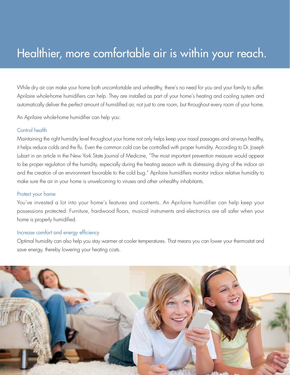### Healthier, more comfortable air is within your reach.

While dry air can make your home both uncomfortable and unhealthy, there's no need for you and your family to suffer. Aprilaire whole-home humidifiers can help. They are installed as part of your home's heating and cooling system and automatically deliver the perfect amount of humidified air, not just to one room, but throughout every room of your home.

An Aprilaire whole-home humidifier can help you:

#### Control health

Maintaining the right humidity level throughout your home not only helps keep your nasal passages and airways healthy, it helps reduce colds and the flu. Even the common cold can be controlled with proper humidity. According to Dr. Joseph Lubart in an article in the New York State Journal of Medicine, "The most important prevention measure would appear to be proper regulation of the humidity, especially during the heating season with its distressing drying of the indoor air and the creation of an environment favorable to the cold bug." Aprilaire humidifiers monitor indoor relative humidity to make sure the air in your home is unwelcoming to viruses and other unhealthy inhabitants.

#### Protect your home

You've invested a lot into your home's features and contents. An Aprilaire humidifier can help keep your possessions protected. Furniture, hardwood floors, musical instruments and electronics are all safer when your home is properly humidified.

#### Increase comfort and energy efficiency

Optimal humidity can also help you stay warmer at cooler temperatures. That means you can lower your thermostat and save energy, thereby lowering your heating costs.

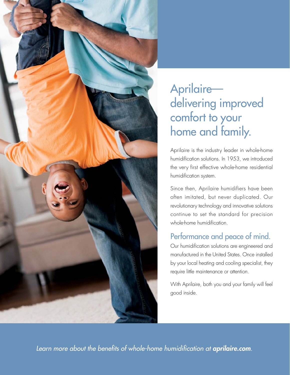

### Aprilaire delivering improved comfort to your home and family.

Aprilaire is the industry leader in whole-home humidification solutions. In 1953, we introduced the very first effective whole-home residential humidification system.

Since then, Aprilaire humidifiers have been often imitated, but never duplicated. Our revolutionary technology and innovative solutions continue to set the standard for precision whole-home humidification.

### Performance and peace of mind.

Our humidification solutions are engineered and manufactured in the United States. Once installed by your local heating and cooling specialist, they require little maintenance or attention.

With Aprilaire, both you and your family will feel good inside.

Learn more about the benefits of whole-home humidification at *aprilaire.com*.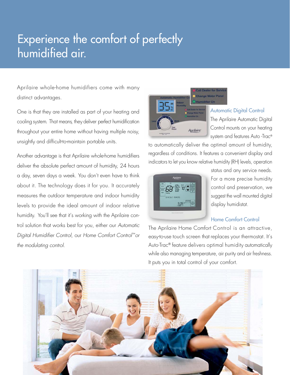### Experience the comfort of perfectly humidified air.

Aprilaire whole-home humidifiers come with many distinct advantages.

One is that they are installed as part of your heating and cooling system. That means, they deliver perfect humidification throughout your entire home without having multiple noisy, unsightly and difficult-to-maintain portable units.

Another advantage is that Aprilaire whole-home humidifiers deliver the absolute perfect amount of humidity, 24 hours a day, seven days a week. You don't even have to think about it. The technology does it for you. It accurately measures the outdoor temperature and indoor humidity levels to provide the ideal amount of indoor relative humidity. You'll see that it's working with the Aprilaire control solution that works best for you, either our Automatic Digital Humidifier Control, our Home Comfort Control™ or the modulating control.



#### Automatic Digital Control

The Aprilaire Automatic Digital Control mounts on your heating system and features Auto -Trac®

to automatically deliver the optimal amount of humidity, regardless of conditions. It features a convenient display and indicators to let you know relative humidity (RH) levels, operation



status and any service needs. For a more precise humidity control and preservation, we suggest the wall mounted digital display humidistat.

### Home Comfort Control

The Aprilaire Home Comfort Control is an attractive, easy-to-use touch screen that replaces your thermostat. It's Auto-Trac® feature delivers optimal humidity automatically while also managing temperature, air purity and air freshness. It puts you in total control of your comfort.

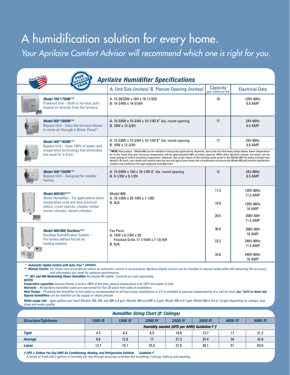### A humidification solution for every home.

Your Aprilaire Comfort Advisor will recommend which one is right for you.

| <b>Aprilaire Humidifier Specifications</b> |                                                                                                                                                                                     |                                                                                                                                                                                                                                                                                                                                                                                                                                                                                                                                                                                                                                                                     |                                     |                        |  |  |  |  |  |  |  |
|--------------------------------------------|-------------------------------------------------------------------------------------------------------------------------------------------------------------------------------------|---------------------------------------------------------------------------------------------------------------------------------------------------------------------------------------------------------------------------------------------------------------------------------------------------------------------------------------------------------------------------------------------------------------------------------------------------------------------------------------------------------------------------------------------------------------------------------------------------------------------------------------------------------------------|-------------------------------------|------------------------|--|--|--|--|--|--|--|
|                                            |                                                                                                                                                                                     | A. Unit Size (inches) B. Plenum Opening (inches)                                                                                                                                                                                                                                                                                                                                                                                                                                                                                                                                                                                                                    | Capacity<br>$qpd = qallons per day$ | <b>Electrical Data</b> |  |  |  |  |  |  |  |
|                                            | Model 700 */700M **<br>Powered Unit - Built-in fan that pulls<br>heated air directly from the furnace.                                                                              | A. 15-29/32W x 18H x 10-11/32D<br>B. 14-3/4W x 14-5/16H                                                                                                                                                                                                                                                                                                                                                                                                                                                                                                                                                                                                             | 18                                  | 120V-60Hz<br>0.8 AMP   |  |  |  |  |  |  |  |
|                                            | Model 600 */600M **<br>Bypass Unit - Uses the furnace blower<br>to move air through a Water Panel.®                                                                                 | A. 15-3/8W x 15-3/4H x 10-1/4D 6" dia. round opening<br>B. 10W x 12-3/4H                                                                                                                                                                                                                                                                                                                                                                                                                                                                                                                                                                                            | 17                                  | 24V-60Hz<br>0.5 AMP    |  |  |  |  |  |  |  |
|                                            | Model 400 */400M **<br>Bypass Unit - Uses 100% of water and<br>evaporative technology that eliminates<br>the need for a drain.                                                      | A. 15-3/8W x 15-3/4H x 10-1/4D 6" dia. round opening<br>B. 10W x 12-3/4H                                                                                                                                                                                                                                                                                                                                                                                                                                                                                                                                                                                            | 17                                  | 24V-60Hz<br>$0.5$ AMP  |  |  |  |  |  |  |  |
|                                            |                                                                                                                                                                                     | <b>^NOTE:</b> Heat pumps – Model 400 can be installed in heat pump applications. However, due to the fact that heat pumps deliver lower temperature<br>air to the home than gas furnaces, evaporation will be approximately 60% of rated capacity. (With other Aprilaire models, hot water can be<br>used instead of cold to maximize evaporation. However, due to the nature of the wicking water panel in the Model 400 hot water provides less<br>benefit.) As such, your dealer will need to take the size and age of your home into consideration to ensure the Model 400 will provide satisfactory<br>comfort and protection through adequate humidification. |                                     |                        |  |  |  |  |  |  |  |
|                                            | Model 500 */500M **<br>Bypass Unit - Designed for smaller<br>homes.                                                                                                                 | A. 15-5/8W x 13H x 10-1/4D 6" dia. round opening<br>$B. 9 - 1/2W \times 9 - 1/2H$                                                                                                                                                                                                                                                                                                                                                                                                                                                                                                                                                                                   | 12                                  | 24V-60Hz<br>$0.5$ AMP  |  |  |  |  |  |  |  |
|                                            | Model 800/801***<br>Steam Humidifier - For applications when<br>evaporative units are less practical<br>(attics, crawl spaces, closets, milder<br>winter climates, desert climate). | Model 800:<br>A. 10-1/8W x 20-7/8H x 7-1/8D                                                                                                                                                                                                                                                                                                                                                                                                                                                                                                                                                                                                                         | 11.5                                | 120V-60Hz<br>11.5 AMP  |  |  |  |  |  |  |  |
|                                            |                                                                                                                                                                                     | B. N/A                                                                                                                                                                                                                                                                                                                                                                                                                                                                                                                                                                                                                                                              | 16.0                                | 120V-60Hz<br>16 AMP    |  |  |  |  |  |  |  |
|                                            |                                                                                                                                                                                     |                                                                                                                                                                                                                                                                                                                                                                                                                                                                                                                                                                                                                                                                     | 20.5                                | 208V-60H<br>11.5 AMP   |  |  |  |  |  |  |  |
|                                            | Model 865/866 Ductless***<br>Ductless Humidification System -<br>For homes without forced air<br>heating systems.                                                                   | Fan Pack:<br>A. 14W x 6-7/8H x 5D                                                                                                                                                                                                                                                                                                                                                                                                                                                                                                                                                                                                                                   | 30.0                                | 208V-60H<br>16 AMP     |  |  |  |  |  |  |  |
|                                            |                                                                                                                                                                                     | Finished Grille 17-1/16W x 7-13/16H<br>B. N/A                                                                                                                                                                                                                                                                                                                                                                                                                                                                                                                                                                                                                       | 23.3                                | 240V-60Hz<br>11.5 AMP  |  |  |  |  |  |  |  |
|                                            |                                                                                                                                                                                     |                                                                                                                                                                                                                                                                                                                                                                                                                                                                                                                                                                                                                                                                     | 34.6                                | 240V-60Hz<br>16 AMP    |  |  |  |  |  |  |  |

**\* Automatic Digital Control with Auto-Trac ® (shown)** 

**\*\* Manual Control** *For those rare occurrences where an automatic control is not practical, Aprilaire digital control can be installed in manual mode while still delivering the accuracy and information you need for optimum performance.* 

**\*\*\* 801 and 866 Modulating Steam Humidifier** for precise RH control.*Controls are sold separately.*

**Notes:**

**Evaporative capacities** *assume blower is active 100% of the time, plenum temperature is at 120˚F and water is cold.*

**Warranty** – *All Aprilaire humidifier parts are warranted for five (5) years from date of installation.* **Heat Pumps** – *Plumbing the humidifier to hot water is recommended on all heat pump installations or if it is installed to operate independently of a call for heat.* **(See ^NOTE for Model 400) Bypass humidifiers** *can be installed on the supply or return plenum.*

Water usage rate - (gph=gallons per hour) Models 700, 350, and 360 is 6 gph; Models 500 and 600 is 3 gph; Model 400 is 0.7 gph; Model 800 is 0.6 to 1.8 gph depending on voltage, amp *draw and water quality.*

| <b>Humidifier Sizing Chart (8' Ceilings)</b> |                                              |                             |                             |                      |                      |                      |                             |  |  |  |
|----------------------------------------------|----------------------------------------------|-----------------------------|-----------------------------|----------------------|----------------------|----------------------|-----------------------------|--|--|--|
| <b>StructureTightness</b>                    | 1000 ft <sup>2</sup>                         | <b>1500 ft</b> <sup>2</sup> | <b>2000 ft</b> <sup>2</sup> | 2500 ft <sup>2</sup> | 3000 ft <sup>2</sup> | 4000 ft <sup>2</sup> | <b>5000 ft</b> <sup>2</sup> |  |  |  |
|                                              | Humidity needed (GPD per AHRI) Guideline F † |                             |                             |                      |                      |                      |                             |  |  |  |
| <b>Tight</b>                                 | 4.3                                          | 6.4                         | 8.5                         | 10.6                 | 12.7                 |                      | 21.2                        |  |  |  |
| <b>Average</b>                               | 8.6                                          | 12.8                        | 17                          | 21.3                 | 25.4                 | 34                   | 42.6                        |  |  |  |
| Loose                                        | 12.7                                         | 19.1                        | 25.5                        | 31.8                 | 38.1                 | 51                   | 63.6                        |  |  |  |

**† GPD = Gallons Per Day AHRI Air Conditioning, Heating, and Refrigeration Institute Guideline F**

 *A family of 4 will add 2 gallons of humidity per day through everyday activities like breathing, cooking, bathing and washing.*